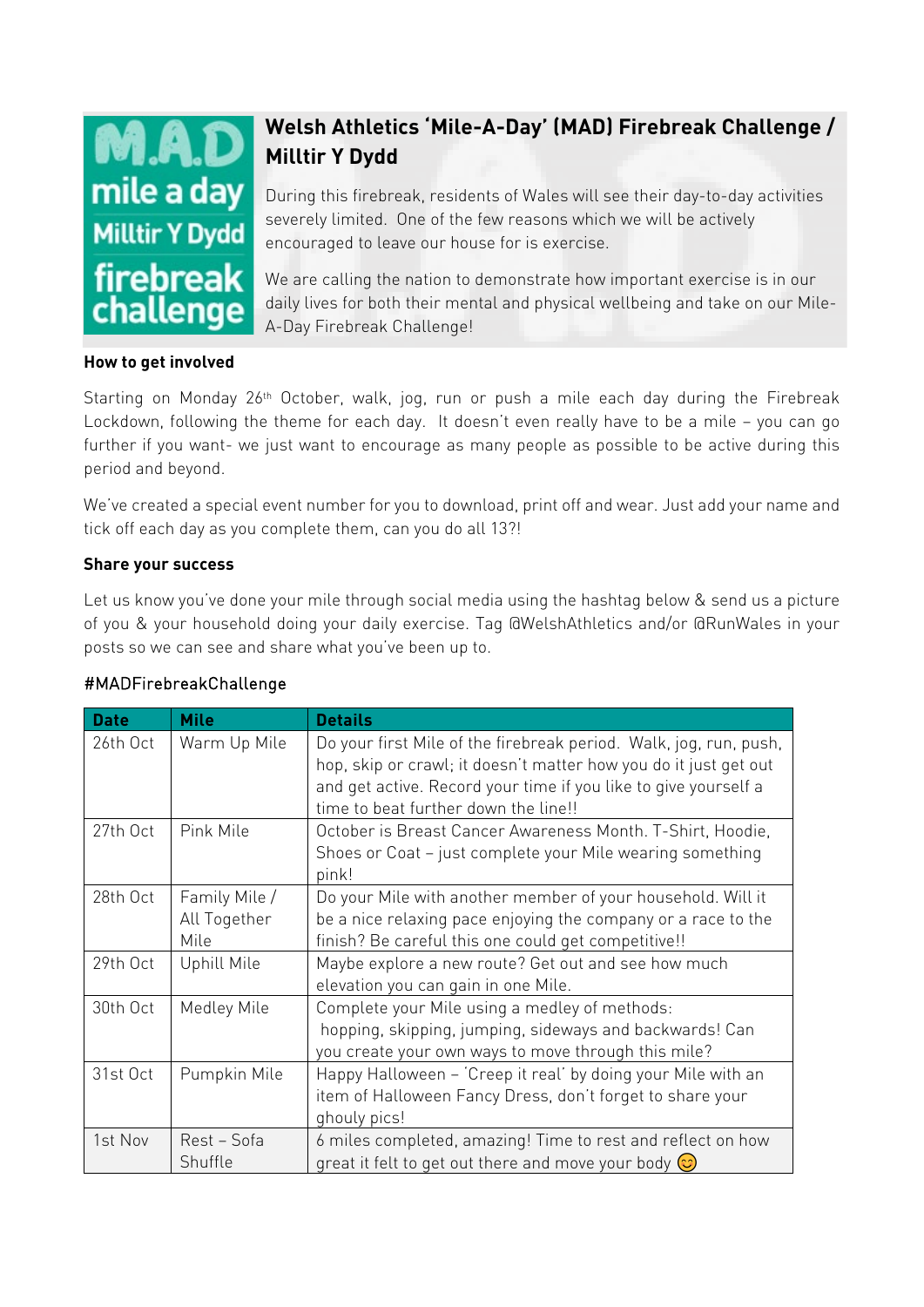

## **Welsh Athletics 'Mile-A-Day' (MAD) Firebreak Challenge / Milltir Y Dydd**

During this firebreak, residents of Wales will see their day-to-day activities severely limited. One of the few reasons which we will be actively encouraged to leave our house for is exercise.

We are calling the nation to demonstrate how important exercise is in our daily lives for both their mental and physical wellbeing and take on our Mile-A-Day Firebreak Challenge!

## **How to get involved**

Starting on Monday 26<sup>th</sup> October, walk, jog, run or push a mile each day during the Firebreak Lockdown, following the theme for each day. It doesn't even really have to be a mile – you can go further if you want- we just want to encourage as many people as possible to be active during this period and beyond.

We've created a special event number for you to download, print off and wear. Just add your name and tick off each day as you complete them, can you do all 13?!

## **Share your success**

Let us know you've done your mile through social media using the hashtag below & send us a picture of you & your household doing your daily exercise. Tag @WelshAthletics and/or @RunWales in your posts so we can see and share what you've been up to.

| <b>Date</b> | <b>Mile</b>                           | <b>Details</b>                                                                                                                                                                                                                                   |
|-------------|---------------------------------------|--------------------------------------------------------------------------------------------------------------------------------------------------------------------------------------------------------------------------------------------------|
| 26th Oct    | Warm Up Mile                          | Do your first Mile of the firebreak period. Walk, jog, run, push,<br>hop, skip or crawl; it doesn't matter how you do it just get out<br>and get active. Record your time if you like to give yourself a<br>time to beat further down the line!! |
| 27th Oct    | Pink Mile                             | October is Breast Cancer Awareness Month. T-Shirt, Hoodie,<br>Shoes or Coat - just complete your Mile wearing something<br>pink!                                                                                                                 |
| 28th Oct    | Family Mile /<br>All Together<br>Mile | Do your Mile with another member of your household. Will it<br>be a nice relaxing pace enjoying the company or a race to the<br>finish? Be careful this one could get competitive!!                                                              |
| 29th Oct    | <b>Uphill Mile</b>                    | Maybe explore a new route? Get out and see how much<br>elevation you can gain in one Mile.                                                                                                                                                       |
| 30th Oct    | Medley Mile                           | Complete your Mile using a medley of methods:<br>hopping, skipping, jumping, sideways and backwards! Can<br>you create your own ways to move through this mile?                                                                                  |
| 31st Oct    | Pumpkin Mile                          | Happy Halloween - 'Creep it real' by doing your Mile with an<br>item of Halloween Fancy Dress, don't forget to share your<br>ghouly pics!                                                                                                        |
| 1st Nov     | Rest - Sofa<br>Shuffle                | 6 miles completed, amazing! Time to rest and reflect on how<br>great it felt to get out there and move your body $\odot$                                                                                                                         |

## #MADFirebreakChallenge